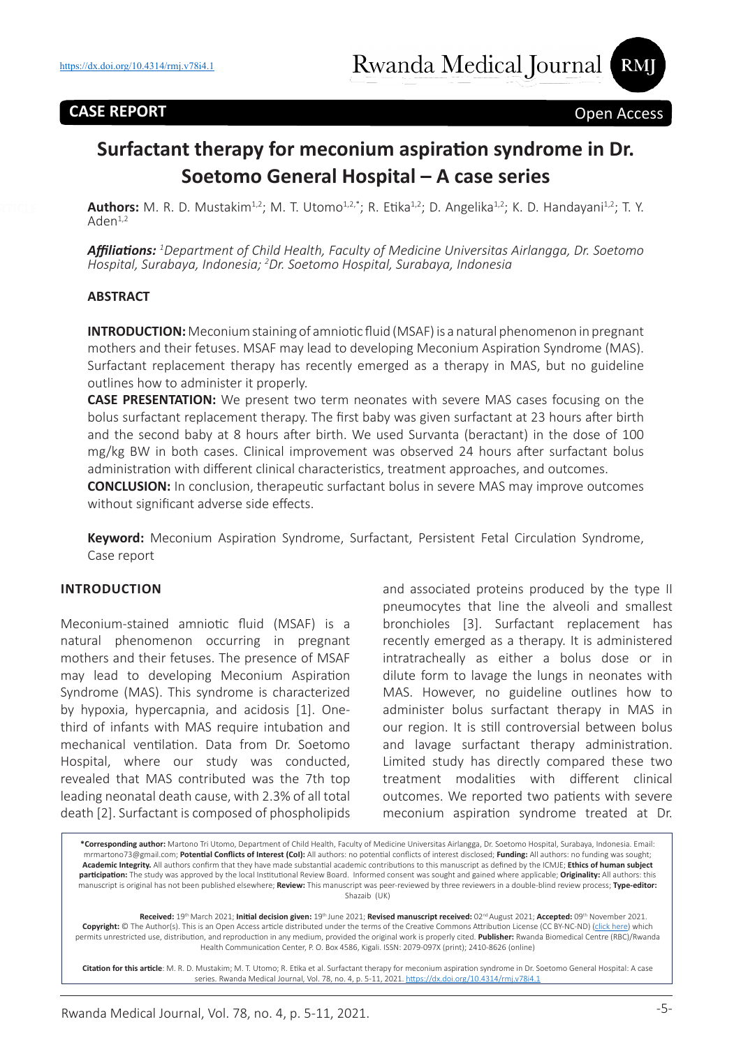## **CASE REPORT** Open Access

# **Surfactant therapy for meconium aspiration syndrome in Dr. Soetomo General Hospital – A case series**

Authors: M. R. D. Mustakim<sup>1,2</sup>; M. T. Utomo<sup>1,2,\*</sup>; R. Etika<sup>1,2</sup>; D. Angelika<sup>1,2</sup>; K. D. Handayani<sup>1,2</sup>; T. Y.  $Aden<sup>1,2</sup>$ 

*Affiliations: <sup>1</sup> Department of Child Health, Faculty of Medicine Universitas Airlangga, Dr. Soetomo Hospital, Surabaya, Indonesia; 2 Dr. Soetomo Hospital, Surabaya, Indonesia*

#### **ABSTRACT**

**INTRODUCTION:** Meconium staining of amniotic fluid (MSAF) is a natural phenomenon in pregnant mothers and their fetuses. MSAF may lead to developing Meconium Aspiration Syndrome (MAS). Surfactant replacement therapy has recently emerged as a therapy in MAS, but no guideline outlines how to administer it properly.

**CASE PRESENTATION:** We present two term neonates with severe MAS cases focusing on the bolus surfactant replacement therapy. The first baby was given surfactant at 23 hours after birth and the second baby at 8 hours after birth. We used Survanta (beractant) in the dose of 100 mg/kg BW in both cases. Clinical improvement was observed 24 hours after surfactant bolus administration with different clinical characteristics, treatment approaches, and outcomes.

**CONCLUSION:** In conclusion, therapeutic surfactant bolus in severe MAS may improve outcomes without significant adverse side effects.

**Keyword:** Meconium Aspiration Syndrome, Surfactant, Persistent Fetal Circulation Syndrome, Case report

#### **INTRODUCTION**

Meconium-stained amniotic fluid (MSAF) is a natural phenomenon occurring in pregnant mothers and their fetuses. The presence of MSAF may lead to developing Meconium Aspiration Syndrome (MAS). This syndrome is characterized by hypoxia, hypercapnia, and acidosis [1]. Onethird of infants with MAS require intubation and mechanical ventilation. Data from Dr. Soetomo Hospital, where our study was conducted, revealed that MAS contributed was the 7th top leading neonatal death cause, with 2.3% of all total death [2]. Surfactant is composed of phospholipids

and associated proteins produced by the type II pneumocytes that line the alveoli and smallest bronchioles [3]. Surfactant replacement has recently emerged as a therapy. It is administered intratracheally as either a bolus dose or in dilute form to lavage the lungs in neonates with MAS. However, no guideline outlines how to administer bolus surfactant therapy in MAS in our region. It is still controversial between bolus and lavage surfactant therapy administration. Limited study has directly compared these two treatment modalities with different clinical outcomes. We reported two patients with severe meconium aspiration syndrome treated at Dr.

**\*Corresponding author:** Martono Tri Utomo, Department of Child Health, Faculty of Medicine Universitas Airlangga, Dr. Soetomo Hospital, Surabaya, Indonesia. Email: mrmartono73@gmail.com; **Potential Conflicts of Interest (CoI):** All authors: no potential conflicts of interest disclosed; **Funding:** All authors: no funding was sought; **Academic Integrity.** All authors confirm that they have made substantial academic contributions to this manuscript as defined by the ICMJE; **Ethics of human subject participation:** The study was approved by the local Institutional Review Board. Informed consent was sought and gained where applicable; **Originality:** All authors: this manuscript is original has not been published elsewhere; **Review:** This manuscript was peer-reviewed by three reviewers in a double-blind review process; **Type-editor:**  Shazaib (UK)

Received: 19<sup>th</sup> March 2021; Initial decision given: 19th June 2021; Revised manuscript received: 02<sup>nd</sup> August 2021; Accepted: 09<sup>th</sup> November 2021. **Copyright:** © The Author(s). This is an Open Access article distributed under the terms of the Creative Commons Attribution License (CC BY-NC-ND) (click here) which permits unrestricted use, distribution, and reproduction in any medium, provided the original work is properly cited. **Publisher:** Rwanda Biomedical Centre (RBC)/Rwanda Health Communication Center, P. O. Box 4586, Kigali. ISSN: 2079-097X (print); 2410-8626 (online)

**Citation for this article**: M. R. D. Mustakim; M. T. Utomo; R. Etika et al. Surfactant therapy for meconium aspiration syndrome in Dr. Soetomo General Hospital: A case series. Rwanda Medical Journal, Vol. 78, no. 4, p. 5-11, 2021. https://dx.doi.org/10.4314/rmj.v78i4.1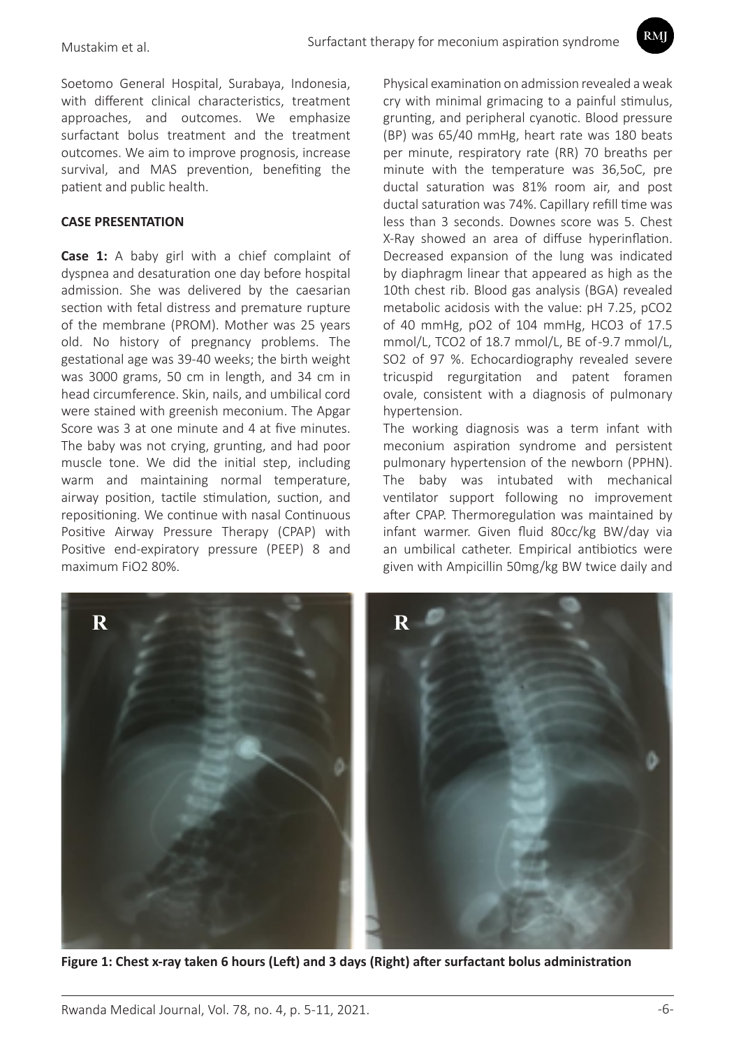Soetomo General Hospital, Surabaya, Indonesia, with different clinical characteristics, treatment approaches, and outcomes. We emphasize surfactant bolus treatment and the treatment outcomes. We aim to improve prognosis, increase survival, and MAS prevention, benefiting the patient and public health.

#### **CASE PRESENTATION**

**Case 1:** A baby girl with a chief complaint of dyspnea and desaturation one day before hospital admission. She was delivered by the caesarian section with fetal distress and premature rupture of the membrane (PROM). Mother was 25 years old. No history of pregnancy problems. The gestational age was 39-40 weeks; the birth weight was 3000 grams, 50 cm in length, and 34 cm in head circumference. Skin, nails, and umbilical cord were stained with greenish meconium. The Apgar Score was 3 at one minute and 4 at five minutes. The baby was not crying, grunting, and had poor muscle tone. We did the initial step, including warm and maintaining normal temperature, airway position, tactile stimulation, suction, and repositioning. We continue with nasal Continuous Positive Airway Pressure Therapy (CPAP) with Positive end-expiratory pressure (PEEP) 8 and maximum FiO2 80%.

Physical examination on admission revealed a weak cry with minimal grimacing to a painful stimulus, grunting, and peripheral cyanotic. Blood pressure (BP) was 65/40 mmHg, heart rate was 180 beats per minute, respiratory rate (RR) 70 breaths per minute with the temperature was 36,5oC, pre ductal saturation was 81% room air, and post ductal saturation was 74%. Capillary refill time was less than 3 seconds. Downes score was 5. Chest X-Ray showed an area of diffuse hyperinflation. Decreased expansion of the lung was indicated by diaphragm linear that appeared as high as the 10th chest rib. Blood gas analysis (BGA) revealed metabolic acidosis with the value: pH 7.25, pCO2 of 40 mmHg, pO2 of 104 mmHg, HCO3 of 17.5 mmol/L, TCO2 of 18.7 mmol/L, BE of -9.7 mmol/L, SO2 of 97 %. Echocardiography revealed severe tricuspid regurgitation and patent foramen ovale, consistent with a diagnosis of pulmonary hypertension.

The working diagnosis was a term infant with meconium aspiration syndrome and persistent pulmonary hypertension of the newborn (PPHN). The baby was intubated with mechanical ventilator support following no improvement after CPAP. Thermoregulation was maintained by infant warmer. Given fluid 80cc/kg BW/day via an umbilical catheter. Empirical antibiotics were given with Ampicillin 50mg/kg BW twice daily and



**Figure 1: Chest x-ray taken 6 hours (Left) and 3 days (Right) after surfactant bolus administration**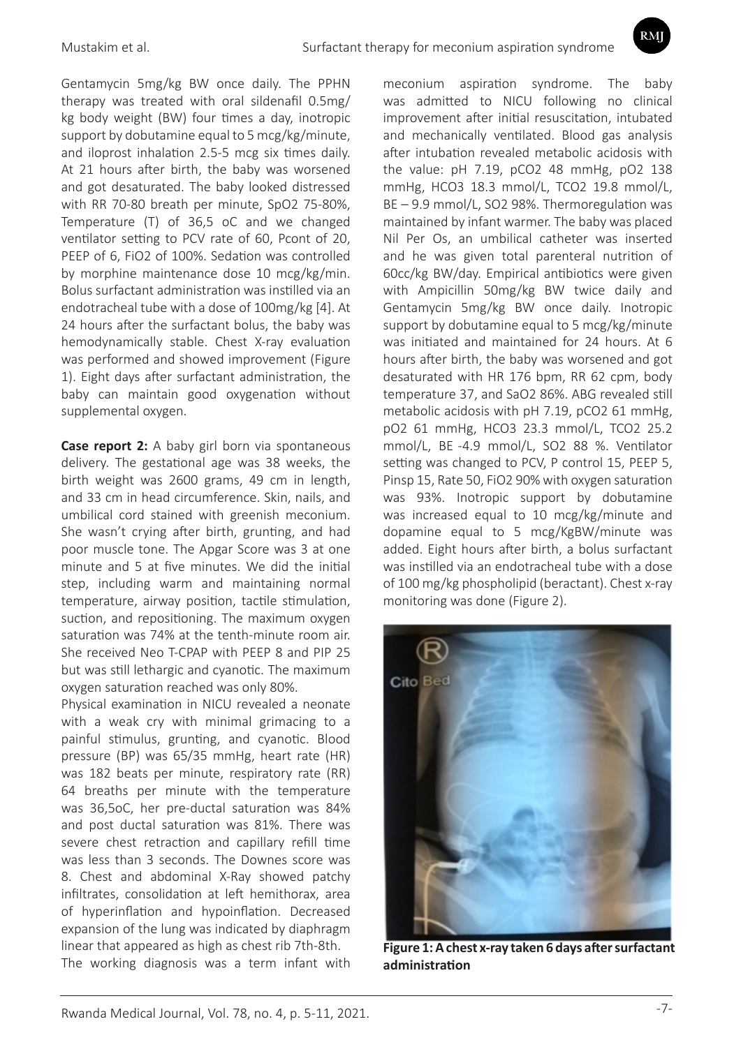Gentamycin 5mg/kg BW once daily. The PPHN therapy was treated with oral sildenafil 0.5mg/ kg body weight (BW) four times a day, inotropic support by dobutamine equal to 5 mcg/kg/minute, and iloprost inhalation 2.5-5 mcg six times daily. At 21 hours after birth, the baby was worsened and got desaturated. The baby looked distressed with RR 70-80 breath per minute, SpO2 75-80%, Temperature (T) of 36,5 oC and we changed ventilator setting to PCV rate of 60, Pcont of 20, PEEP of 6, FiO2 of 100%. Sedation was controlled by morphine maintenance dose 10 mcg/kg/min. Bolus surfactant administration was instilled via an endotracheal tube with a dose of 100mg/kg [4]. At 24 hours after the surfactant bolus, the baby was hemodynamically stable. Chest X-ray evaluation was performed and showed improvement (Figure 1). Eight days after surfactant administration, the baby can maintain good oxygenation without supplemental oxygen.

**Case report 2:** A baby girl born via spontaneous delivery. The gestational age was 38 weeks, the birth weight was 2600 grams, 49 cm in length, and 33 cm in head circumference. Skin, nails, and umbilical cord stained with greenish meconium. She wasn't crying after birth, grunting, and had poor muscle tone. The Apgar Score was 3 at one minute and 5 at five minutes. We did the initial step, including warm and maintaining normal temperature, airway position, tactile stimulation, suction, and repositioning. The maximum oxygen saturation was 74% at the tenth-minute room air. She received Neo T-CPAP with PEEP 8 and PIP 25 but was still lethargic and cyanotic. The maximum oxygen saturation reached was only 80%.

Physical examination in NICU revealed a neonate with a weak cry with minimal grimacing to a painful stimulus, grunting, and cyanotic. Blood pressure (BP) was 65/35 mmHg, heart rate (HR) was 182 beats per minute, respiratory rate (RR) 64 breaths per minute with the temperature was 36,5oC, her pre-ductal saturation was 84% and post ductal saturation was 81%. There was severe chest retraction and capillary refill time was less than 3 seconds. The Downes score was 8. Chest and abdominal X-Ray showed patchy infiltrates, consolidation at left hemithorax, area of hyperinflation and hypoinflation. Decreased expansion of the lung was indicated by diaphragm linear that appeared as high as chest rib 7th-8th. The working diagnosis was a term infant with

meconium aspiration syndrome. The baby was admitted to NICU following no clinical improvement after initial resuscitation, intubated and mechanically ventilated. Blood gas analysis after intubation revealed metabolic acidosis with the value: pH 7.19, pCO2 48 mmHg, pO2 138 mmHg, HCO3 18.3 mmol/L, TCO2 19.8 mmol/L, BE – 9.9 mmol/L, SO2 98%. Thermoregulation was maintained by infant warmer. The baby was placed Nil Per Os, an umbilical catheter was inserted and he was given total parenteral nutrition of 60cc/kg BW/day. Empirical antibiotics were given with Ampicillin 50mg/kg BW twice daily and Gentamycin 5mg/kg BW once daily. Inotropic support by dobutamine equal to 5 mcg/kg/minute was initiated and maintained for 24 hours. At 6 hours after birth, the baby was worsened and got desaturated with HR 176 bpm, RR 62 cpm, body temperature 37, and SaO2 86%. ABG revealed still metabolic acidosis with pH 7.19, pCO2 61 mmHg, pO2 61 mmHg, HCO3 23.3 mmol/L, TCO2 25.2 mmol/L, BE -4.9 mmol/L, SO2 88 %. Ventilator setting was changed to PCV, P control 15, PEEP 5, Pinsp 15, Rate 50, FiO2 90% with oxygen saturation was 93%. Inotropic support by dobutamine was increased equal to 10 mcg/kg/minute and dopamine equal to 5 mcg/KgBW/minute was added. Eight hours after birth, a bolus surfactant was instilled via an endotracheal tube with a dose of 100 mg/kg phospholipid (beractant). Chest x-ray monitoring was done (Figure 2).

RMI



**Figure 1: A chest x-ray taken 6 days after surfactant administration**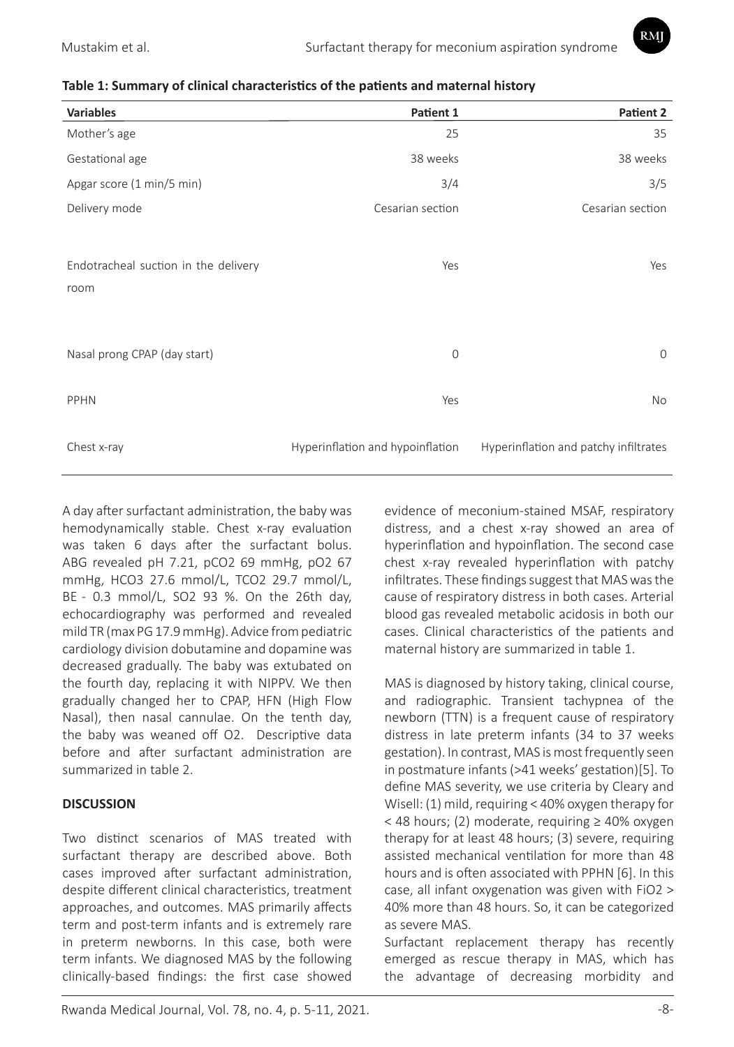RMI



| <b>Variables</b>                     | Patient 1                        | Patient 2                             |
|--------------------------------------|----------------------------------|---------------------------------------|
| Mother's age                         | 25                               | 35                                    |
| Gestational age                      | 38 weeks                         | 38 weeks                              |
| Apgar score (1 min/5 min)            | 3/4                              | 3/5                                   |
| Delivery mode                        | Cesarian section                 | Cesarian section                      |
|                                      |                                  |                                       |
| Endotracheal suction in the delivery | Yes                              | Yes                                   |
| room                                 |                                  |                                       |
|                                      |                                  |                                       |
| Nasal prong CPAP (day start)         | $\mathbf 0$                      | $\mathbf{0}$                          |
|                                      |                                  |                                       |
| PPHN                                 | Yes                              | No                                    |
|                                      |                                  |                                       |
| Chest x-ray                          | Hyperinflation and hypoinflation | Hyperinflation and patchy infiltrates |

A day after surfactant administration, the baby was hemodynamically stable. Chest x-ray evaluation was taken 6 days after the surfactant bolus. ABG revealed pH 7.21, pCO2 69 mmHg, pO2 67 mmHg, HCO3 27.6 mmol/L, TCO2 29.7 mmol/L, BE - 0.3 mmol/L, SO2 93 %. On the 26th day, echocardiography was performed and revealed mild TR (max PG 17.9 mmHg). Advice from pediatric cardiology division dobutamine and dopamine was decreased gradually. The baby was extubated on the fourth day, replacing it with NIPPV. We then gradually changed her to CPAP, HFN (High Flow Nasal), then nasal cannulae. On the tenth day, the baby was weaned off O2. Descriptive data before and after surfactant administration are summarized in table 2.

## **DISCUSSION**

Two distinct scenarios of MAS treated with surfactant therapy are described above. Both cases improved after surfactant administration, despite different clinical characteristics, treatment approaches, and outcomes. MAS primarily affects term and post-term infants and is extremely rare in preterm newborns. In this case, both were term infants. We diagnosed MAS by the following clinically-based findings: the first case showed evidence of meconium-stained MSAF, respiratory distress, and a chest x-ray showed an area of hyperinflation and hypoinflation. The second case chest x-ray revealed hyperinflation with patchy infiltrates. These findings suggest that MAS was the cause of respiratory distress in both cases. Arterial blood gas revealed metabolic acidosis in both our cases. Clinical characteristics of the patients and maternal history are summarized in table 1.

MAS is diagnosed by history taking, clinical course, and radiographic. Transient tachypnea of the newborn (TTN) is a frequent cause of respiratory distress in late preterm infants (34 to 37 weeks gestation). In contrast, MAS is most frequently seen in postmature infants (>41 weeks' gestation)[5]. To define MAS severity, we use criteria by Cleary and Wisell: (1) mild, requiring < 40% oxygen therapy for < 48 hours; (2) moderate, requiring ≥ 40% oxygen therapy for at least 48 hours; (3) severe, requiring assisted mechanical ventilation for more than 48 hours and is often associated with PPHN [6]. In this case, all infant oxygenation was given with FiO2 > 40% more than 48 hours. So, it can be categorized as severe MAS.

Surfactant replacement therapy has recently emerged as rescue therapy in MAS, which has the advantage of decreasing morbidity and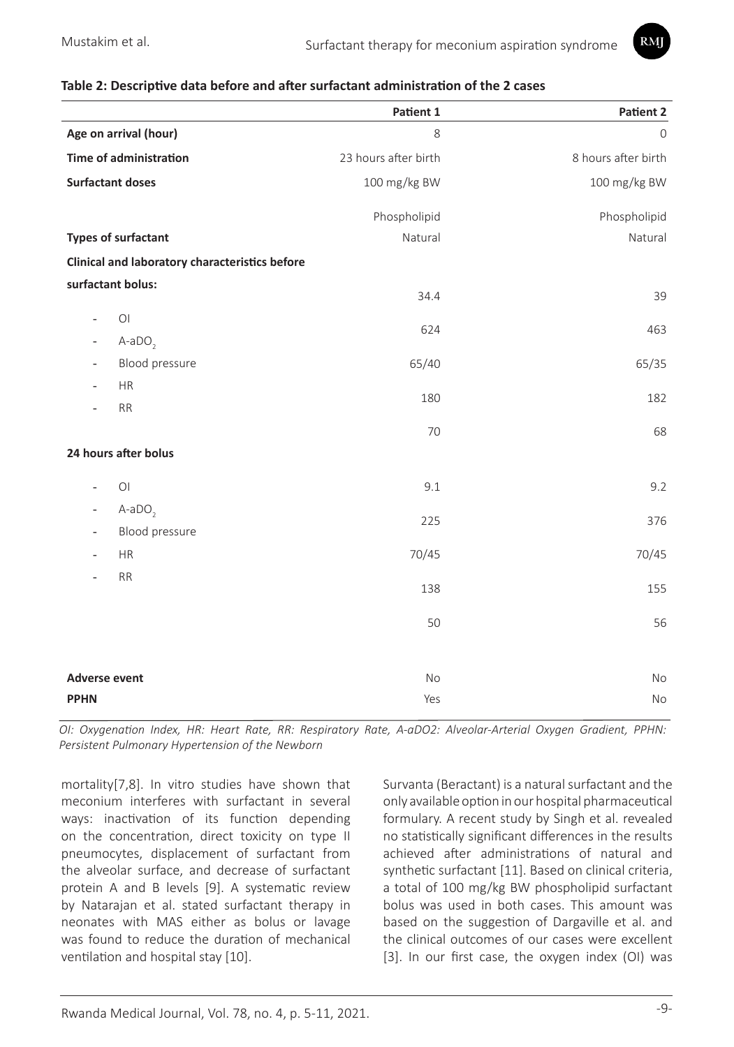

#### **Table 2: Descriptive data before and after surfactant administration of the 2 cases**

|                                                        | Patient 1            | Patient 2           |
|--------------------------------------------------------|----------------------|---------------------|
| Age on arrival (hour)                                  | 8                    | $\overline{0}$      |
| <b>Time of administration</b>                          | 23 hours after birth | 8 hours after birth |
| <b>Surfactant doses</b>                                | 100 mg/kg BW         | 100 mg/kg BW        |
|                                                        | Phospholipid         | Phospholipid        |
| <b>Types of surfactant</b>                             | Natural              | Natural             |
| Clinical and laboratory characteristics before         |                      |                     |
| surfactant bolus:                                      |                      |                     |
|                                                        | 34.4                 | 39                  |
| $\bigcirc$<br>$\overline{\phantom{0}}$                 | 624                  | 463                 |
| $A-aDO2$<br>$\overline{\phantom{0}}$<br>Blood pressure | 65/40                |                     |
| HR                                                     |                      | 65/35               |
| RR                                                     | 180                  | 182                 |
|                                                        | 70                   | 68                  |
| 24 hours after bolus                                   |                      |                     |
|                                                        |                      |                     |
| $\bigcirc$<br>$\overline{a}$                           | 9.1                  | 9.2                 |
| $A-aDO2$<br>$\overline{\phantom{a}}$                   | 225                  | 376                 |
| Blood pressure                                         |                      |                     |
| <b>HR</b>                                              | 70/45                | 70/45               |
| RR                                                     | 138                  | 155                 |
|                                                        | 50                   | 56                  |
|                                                        |                      |                     |
|                                                        |                      |                     |
| <b>Adverse event</b>                                   | No                   | <b>No</b>           |
| <b>PPHN</b>                                            | Yes                  | No                  |

*OI: Oxygenation Index, HR: Heart Rate, RR: Respiratory Rate, A-aDO2: Alveolar-Arterial Oxygen Gradient, PPHN: Persistent Pulmonary Hypertension of the Newborn*

mortality[7,8]. In vitro studies have shown that meconium interferes with surfactant in several ways: inactivation of its function depending on the concentration, direct toxicity on type II pneumocytes, displacement of surfactant from the alveolar surface, and decrease of surfactant protein A and B levels [9]. A systematic review by Natarajan et al. stated surfactant therapy in neonates with MAS either as bolus or lavage was found to reduce the duration of mechanical ventilation and hospital stay [10].

Survanta (Beractant) is a natural surfactant and the only available option in our hospital pharmaceutical formulary. A recent study by Singh et al. revealed no statistically significant differences in the results achieved after administrations of natural and synthetic surfactant [11]. Based on clinical criteria, a total of 100 mg/kg BW phospholipid surfactant bolus was used in both cases. This amount was based on the suggestion of Dargaville et al. and the clinical outcomes of our cases were excellent [3]. In our first case, the oxygen index (OI) was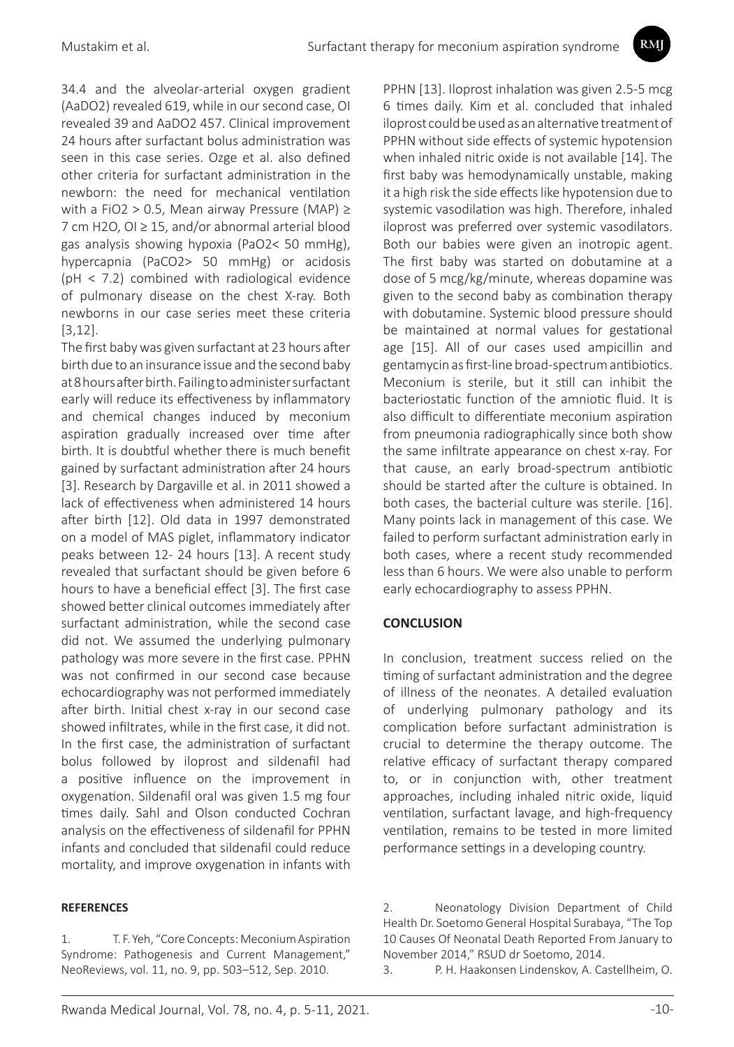34.4 and the alveolar-arterial oxygen gradient (AaDO2) revealed 619, while in our second case, OI revealed 39 and AaDO2 457. Clinical improvement 24 hours after surfactant bolus administration was seen in this case series. Ozge et al. also defined other criteria for surfactant administration in the newborn: the need for mechanical ventilation with a FiO2 > 0.5, Mean airway Pressure (MAP) ≥ 7 cm H2O, OI ≥ 15, and/or abnormal arterial blood gas analysis showing hypoxia (PaO2< 50 mmHg), hypercapnia (PaCO2> 50 mmHg) or acidosis (pH < 7.2) combined with radiological evidence of pulmonary disease on the chest X-ray. Both newborns in our case series meet these criteria [3,12].

The first baby was given surfactant at 23 hours after birth due to an insurance issue and the second baby at 8 hours after birth. Failing to administer surfactant early will reduce its effectiveness by inflammatory and chemical changes induced by meconium aspiration gradually increased over time after birth. It is doubtful whether there is much benefit gained by surfactant administration after 24 hours [3]. Research by Dargaville et al. in 2011 showed a lack of effectiveness when administered 14 hours after birth [12]. Old data in 1997 demonstrated on a model of MAS piglet, inflammatory indicator peaks between 12- 24 hours [13]. A recent study revealed that surfactant should be given before 6 hours to have a beneficial effect [3]. The first case showed better clinical outcomes immediately after surfactant administration, while the second case did not. We assumed the underlying pulmonary pathology was more severe in the first case. PPHN was not confirmed in our second case because echocardiography was not performed immediately after birth. Initial chest x-ray in our second case showed infiltrates, while in the first case, it did not. In the first case, the administration of surfactant bolus followed by iloprost and sildenafil had a positive influence on the improvement in oxygenation. Sildenafil oral was given 1.5 mg four times daily. Sahl and Olson conducted Cochran analysis on the effectiveness of sildenafil for PPHN infants and concluded that sildenafil could reduce mortality, and improve oxygenation in infants with

#### **REFERENCES**

PPHN [13]. Iloprost inhalation was given 2.5-5 mcg 6 times daily. Kim et al. concluded that inhaled iloprost could be used as an alternative treatment of PPHN without side effects of systemic hypotension when inhaled nitric oxide is not available [14]. The first baby was hemodynamically unstable, making it a high risk the side effects like hypotension due to systemic vasodilation was high. Therefore, inhaled iloprost was preferred over systemic vasodilators. Both our babies were given an inotropic agent. The first baby was started on dobutamine at a dose of 5 mcg/kg/minute, whereas dopamine was given to the second baby as combination therapy with dobutamine. Systemic blood pressure should be maintained at normal values for gestational age [15]. All of our cases used ampicillin and gentamycin as first-line broad-spectrum antibiotics. Meconium is sterile, but it still can inhibit the bacteriostatic function of the amniotic fluid. It is also difficult to differentiate meconium aspiration from pneumonia radiographically since both show the same infiltrate appearance on chest x-ray. For that cause, an early broad-spectrum antibiotic should be started after the culture is obtained. In both cases, the bacterial culture was sterile. [16]. Many points lack in management of this case. We failed to perform surfactant administration early in both cases, where a recent study recommended less than 6 hours. We were also unable to perform early echocardiography to assess PPHN.

RMI

## **CONCLUSION**

In conclusion, treatment success relied on the timing of surfactant administration and the degree of illness of the neonates. A detailed evaluation of underlying pulmonary pathology and its complication before surfactant administration is crucial to determine the therapy outcome. The relative efficacy of surfactant therapy compared to, or in conjunction with, other treatment approaches, including inhaled nitric oxide, liquid ventilation, surfactant lavage, and high-frequency ventilation, remains to be tested in more limited performance settings in a developing country.

3. P. H. Haakonsen Lindenskov, A. Castellheim, O.

<sup>1.</sup> T. F. Yeh, "Core Concepts: Meconium Aspiration Syndrome: Pathogenesis and Current Management," NeoReviews, vol. 11, no. 9, pp. 503–512, Sep. 2010.

<sup>2.</sup> Neonatology Division Department of Child Health Dr. Soetomo General Hospital Surabaya, "The Top 10 Causes Of Neonatal Death Reported From January to November 2014," RSUD dr Soetomo, 2014.